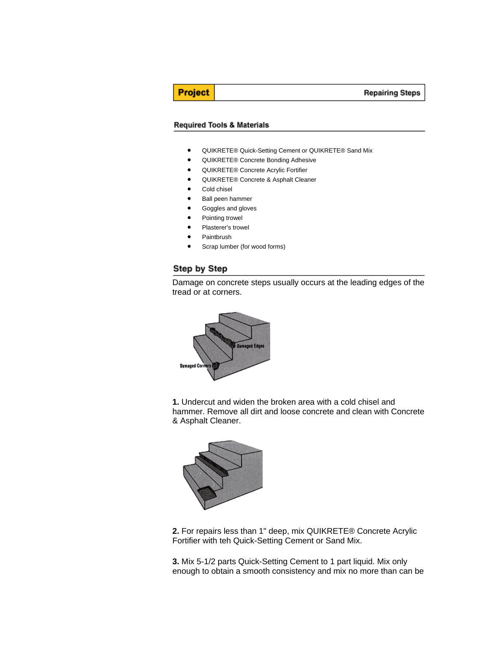#### **Repairing Steps**

# **Project**

#### **Required Tools & Materials**

- QUIKRETE® Quick-Setting Cement or QUIKRETE® Sand Mix
- QUIKRETE® Concrete Bonding Adhesive
- QUIKRETE® Concrete Acrylic Fortifier
- QUIKRETE® Concrete & Asphalt Cleaner
- Cold chisel
- Ball peen hammer
- Goggles and gloves
- Pointing trowel
- Plasterer's trowel
- Paintbrush
- Scrap lumber (for wood forms)

## Step by Step





**1.** Undercut and widen the broken area with a cold chisel and hammer. Remove all dirt and loose concrete and clean with Concrete & Asphalt Cleaner.



**2.** For repairs less than 1" deep, mix QUIKRETE® Concrete Acrylic Fortifier with teh Quick-Setting Cement or Sand Mix.

**3.** Mix 5-1/2 parts Quick-Setting Cement to 1 part liquid. Mix only enough to obtain a smooth consistency and mix no more than can be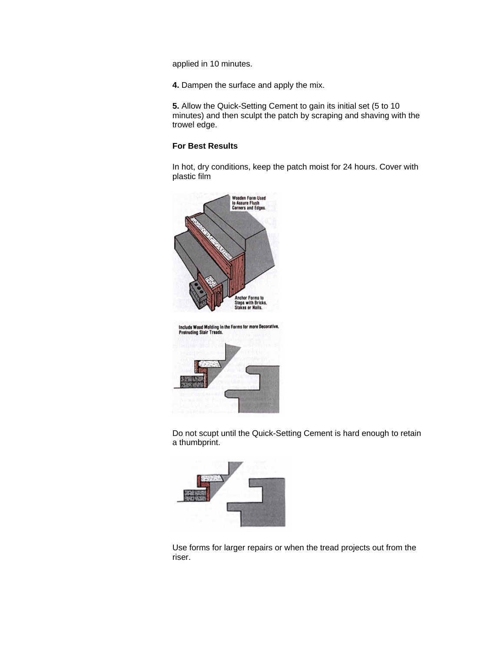applied in 10 minutes.

**4.** Dampen the surface and apply the mix.

**5.** Allow the Quick-Setting Cement to gain its initial set (5 to 10 minutes) and then sculpt the patch by scraping and shaving with the trowel edge.

### **For Best Results**

In hot, dry conditions, keep the patch moist for 24 hours. Cover with plastic film



Do not scupt until the Quick-Setting Cement is hard enough to retain a thumbprint.



Use forms for larger repairs or when the tread projects out from the riser.